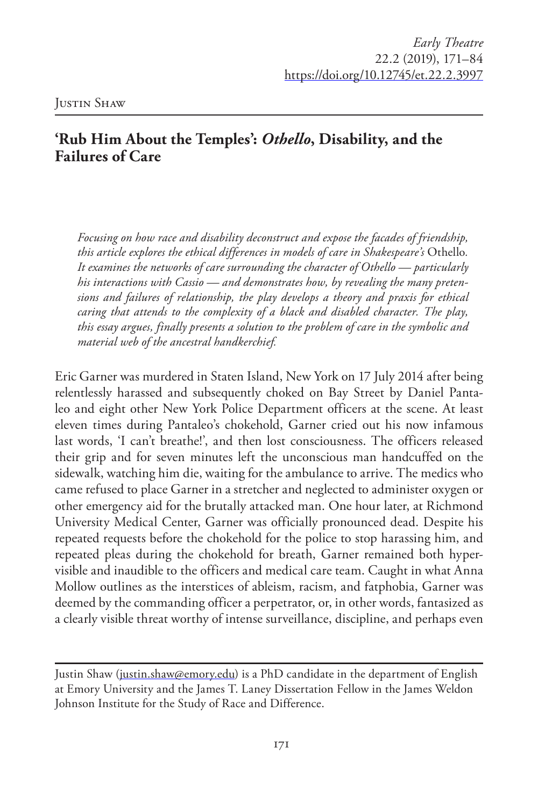## **'Rub Him About the Temples':** *Othello***, Disability, and the Failures of Care**

*Focusing on how race and disability deconstruct and expose the facades of friendship, this article explores the ethical differences in models of care in Shakespeare's* Othello*. It examines the networks of care surrounding the character of Othello — particularly his interactions with Cassio — and demonstrates how, by revealing the many pretensions and failures of relationship, the play develops a theory and praxis for ethical caring that attends to the complexity of a black and disabled character. The play, this essay argues, finally presents a solution to the problem of care in the symbolic and material web of the ancestral handkerchief.*

Eric Garner was murdered in Staten Island, New York on 17 July 2014 after being relentlessly harassed and subsequently choked on Bay Street by Daniel Pantaleo and eight other New York Police Department officers at the scene. At least eleven times during Pantaleo's chokehold, Garner cried out his now infamous last words, 'I can't breathe!', and then lost consciousness. The officers released their grip and for seven minutes left the unconscious man handcuffed on the sidewalk, watching him die, waiting for the ambulance to arrive. The medics who came refused to place Garner in a stretcher and neglected to administer oxygen or other emergency aid for the brutally attacked man. One hour later, at Richmond University Medical Center, Garner was officially pronounced dead. Despite his repeated requests before the chokehold for the police to stop harassing him, and repeated pleas during the chokehold for breath, Garner remained both hypervisible and inaudible to the officers and medical care team. Caught in what Anna Mollow outlines as the interstices of ableism, racism, and fatphobia, Garner was deemed by the commanding officer a perpetrator, or, in other words, fantasized as a clearly visible threat worthy of intense surveillance, discipline, and perhaps even

Justin Shaw (justin.shaw@emory.edu) is a PhD candidate in the department of English at Emory University and the James T. Laney Dissertation Fellow in the James Weldon Johnson Institute for the Study of Race and Difference.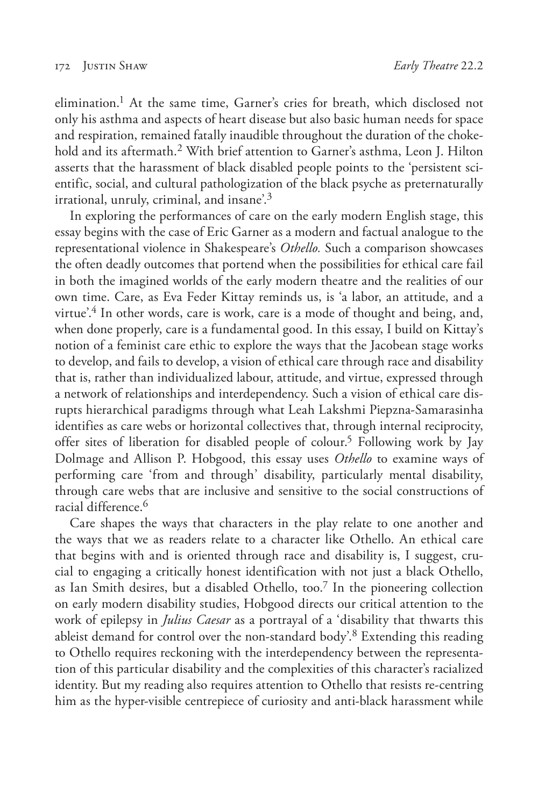elimination.1 At the same time, Garner's cries for breath, which disclosed not only his asthma and aspects of heart disease but also basic human needs for space and respiration, remained fatally inaudible throughout the duration of the chokehold and its aftermath.<sup>2</sup> With brief attention to Garner's asthma, Leon J. Hilton asserts that the harassment of black disabled people points to the 'persistent scientific, social, and cultural pathologization of the black psyche as preternaturally irrational, unruly, criminal, and insane'.3

In exploring the performances of care on the early modern English stage, this essay begins with the case of Eric Garner as a modern and factual analogue to the representational violence in Shakespeare's *Othello.* Such a comparison showcases the often deadly outcomes that portend when the possibilities for ethical care fail in both the imagined worlds of the early modern theatre and the realities of our own time. Care, as Eva Feder Kittay reminds us, is 'a labor, an attitude, and a virtue'.<sup>4</sup> In other words, care is work, care is a mode of thought and being, and, when done properly, care is a fundamental good. In this essay, I build on Kittay's notion of a feminist care ethic to explore the ways that the Jacobean stage works to develop, and fails to develop, a vision of ethical care through race and disability that is, rather than individualized labour, attitude, and virtue, expressed through a network of relationships and interdependency. Such a vision of ethical care disrupts hierarchical paradigms through what Leah Lakshmi Piepzna-Samarasinha identifies as care webs or horizontal collectives that, through internal reciprocity, offer sites of liberation for disabled people of colour.<sup>5</sup> Following work by Jay Dolmage and Allison P. Hobgood, this essay uses *Othello* to examine ways of performing care 'from and through' disability, particularly mental disability, through care webs that are inclusive and sensitive to the social constructions of racial difference.6

Care shapes the ways that characters in the play relate to one another and the ways that we as readers relate to a character like Othello. An ethical care that begins with and is oriented through race and disability is, I suggest, crucial to engaging a critically honest identification with not just a black Othello, as Ian Smith desires, but a disabled Othello, too.<sup>7</sup> In the pioneering collection on early modern disability studies, Hobgood directs our critical attention to the work of epilepsy in *Julius Caesar* as a portrayal of a 'disability that thwarts this ableist demand for control over the non-standard body'.8 Extending this reading to Othello requires reckoning with the interdependency between the representation of this particular disability and the complexities of this character's racialized identity. But my reading also requires attention to Othello that resists re-centring him as the hyper-visible centrepiece of curiosity and anti-black harassment while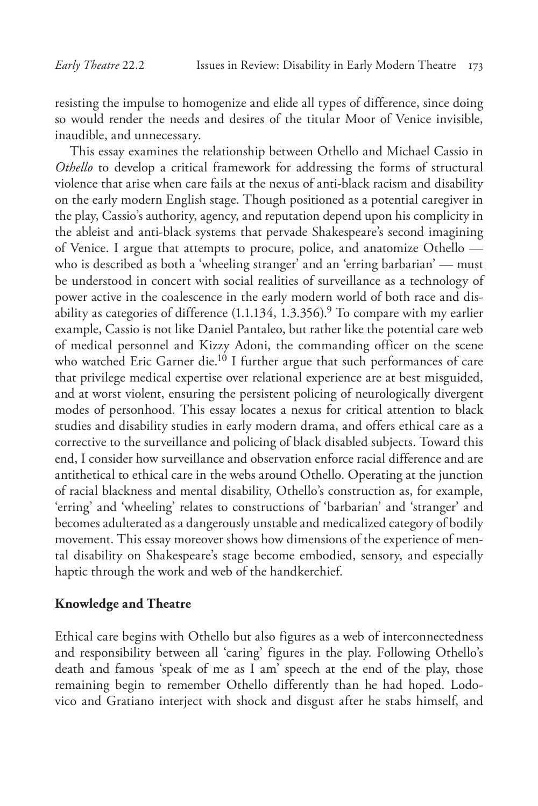resisting the impulse to homogenize and elide all types of difference, since doing so would render the needs and desires of the titular Moor of Venice invisible, inaudible, and unnecessary.

This essay examines the relationship between Othello and Michael Cassio in *Othello* to develop a critical framework for addressing the forms of structural violence that arise when care fails at the nexus of anti-black racism and disability on the early modern English stage. Though positioned as a potential caregiver in the play, Cassio's authority, agency, and reputation depend upon his complicity in the ableist and anti-black systems that pervade Shakespeare's second imagining of Venice. I argue that attempts to procure, police, and anatomize Othello who is described as both a 'wheeling stranger' and an 'erring barbarian' — must be understood in concert with social realities of surveillance as a technology of power active in the coalescence in the early modern world of both race and disability as categories of difference  $(1.1.134, 1.3.356)^9$  To compare with my earlier example, Cassio is not like Daniel Pantaleo, but rather like the potential care web of medical personnel and Kizzy Adoni, the commanding officer on the scene who watched Eric Garner die.<sup>10</sup> I further argue that such performances of care that privilege medical expertise over relational experience are at best misguided, and at worst violent, ensuring the persistent policing of neurologically divergent modes of personhood. This essay locates a nexus for critical attention to black studies and disability studies in early modern drama, and offers ethical care as a corrective to the surveillance and policing of black disabled subjects. Toward this end, I consider how surveillance and observation enforce racial difference and are antithetical to ethical care in the webs around Othello. Operating at the junction of racial blackness and mental disability, Othello's construction as, for example, 'erring' and 'wheeling' relates to constructions of 'barbarian' and 'stranger' and becomes adulterated as a dangerously unstable and medicalized category of bodily movement. This essay moreover shows how dimensions of the experience of mental disability on Shakespeare's stage become embodied, sensory, and especially haptic through the work and web of the handkerchief.

## **Knowledge and Theatre**

Ethical care begins with Othello but also figures as a web of interconnectedness and responsibility between all 'caring' figures in the play. Following Othello's death and famous 'speak of me as I am' speech at the end of the play, those remaining begin to remember Othello differently than he had hoped. Lodovico and Gratiano interject with shock and disgust after he stabs himself, and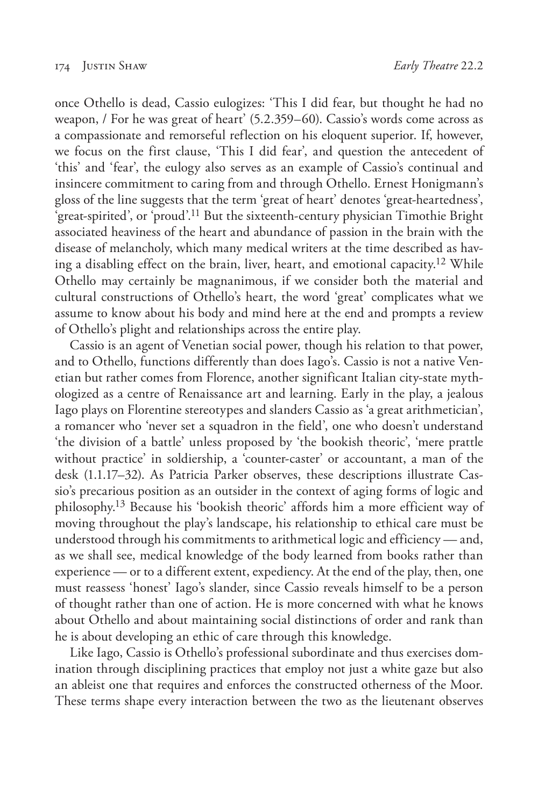once Othello is dead, Cassio eulogizes: 'This I did fear, but thought he had no weapon, / For he was great of heart' (5.2.359–60). Cassio's words come across as a compassionate and remorseful reflection on his eloquent superior. If, however, we focus on the first clause, 'This I did fear', and question the antecedent of 'this' and 'fear', the eulogy also serves as an example of Cassio's continual and insincere commitment to caring from and through Othello. Ernest Honigmann's gloss of the line suggests that the term 'great of heart' denotes 'great-heartedness', 'great-spirited', or 'proud'.11 But the sixteenth-century physician Timothie Bright associated heaviness of the heart and abundance of passion in the brain with the disease of melancholy, which many medical writers at the time described as having a disabling effect on the brain, liver, heart, and emotional capacity.<sup>12</sup> While Othello may certainly be magnanimous, if we consider both the material and cultural constructions of Othello's heart, the word 'great' complicates what we assume to know about his body and mind here at the end and prompts a review of Othello's plight and relationships across the entire play.

Cassio is an agent of Venetian social power, though his relation to that power, and to Othello, functions differently than does Iago's. Cassio is not a native Venetian but rather comes from Florence, another significant Italian city-state mythologized as a centre of Renaissance art and learning. Early in the play, a jealous Iago plays on Florentine stereotypes and slanders Cassio as 'a great arithmetician', a romancer who 'never set a squadron in the field', one who doesn't understand 'the division of a battle' unless proposed by 'the bookish theoric', 'mere prattle without practice' in soldiership, a 'counter-caster' or accountant, a man of the desk (1.1.17–32). As Patricia Parker observes, these descriptions illustrate Cassio's precarious position as an outsider in the context of aging forms of logic and philosophy.13 Because his 'bookish theoric' affords him a more efficient way of moving throughout the play's landscape, his relationship to ethical care must be understood through his commitments to arithmetical logic and efficiency — and, as we shall see, medical knowledge of the body learned from books rather than experience — or to a different extent, expediency. At the end of the play, then, one must reassess 'honest' Iago's slander, since Cassio reveals himself to be a person of thought rather than one of action. He is more concerned with what he knows about Othello and about maintaining social distinctions of order and rank than he is about developing an ethic of care through this knowledge.

Like Iago, Cassio is Othello's professional subordinate and thus exercises domination through disciplining practices that employ not just a white gaze but also an ableist one that requires and enforces the constructed otherness of the Moor. These terms shape every interaction between the two as the lieutenant observes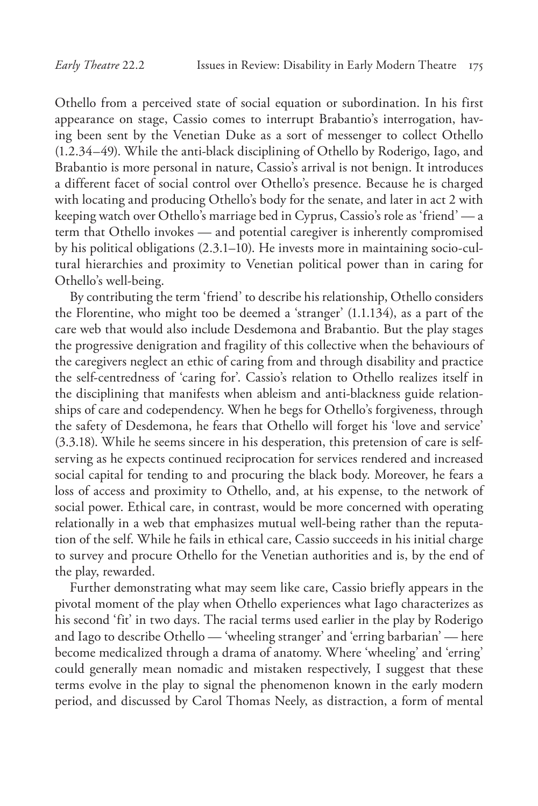Othello from a perceived state of social equation or subordination. In his first appearance on stage, Cassio comes to interrupt Brabantio's interrogation, having been sent by the Venetian Duke as a sort of messenger to collect Othello (1.2.34–49). While the anti-black disciplining of Othello by Roderigo, Iago, and Brabantio is more personal in nature, Cassio's arrival is not benign. It introduces a different facet of social control over Othello's presence. Because he is charged with locating and producing Othello's body for the senate, and later in act 2 with keeping watch over Othello's marriage bed in Cyprus, Cassio's role as 'friend' — a term that Othello invokes — and potential caregiver is inherently compromised by his political obligations (2.3.1–10). He invests more in maintaining socio-cultural hierarchies and proximity to Venetian political power than in caring for Othello's well-being.

By contributing the term 'friend' to describe his relationship, Othello considers the Florentine, who might too be deemed a 'stranger' (1.1.134), as a part of the care web that would also include Desdemona and Brabantio. But the play stages the progressive denigration and fragility of this collective when the behaviours of the caregivers neglect an ethic of caring from and through disability and practice the self-centredness of 'caring for'. Cassio's relation to Othello realizes itself in the disciplining that manifests when ableism and anti-blackness guide relationships of care and codependency. When he begs for Othello's forgiveness, through the safety of Desdemona, he fears that Othello will forget his 'love and service' (3.3.18). While he seems sincere in his desperation, this pretension of care is selfserving as he expects continued reciprocation for services rendered and increased social capital for tending to and procuring the black body. Moreover, he fears a loss of access and proximity to Othello, and, at his expense, to the network of social power. Ethical care, in contrast, would be more concerned with operating relationally in a web that emphasizes mutual well-being rather than the reputation of the self. While he fails in ethical care, Cassio succeeds in his initial charge to survey and procure Othello for the Venetian authorities and is, by the end of the play, rewarded.

Further demonstrating what may seem like care, Cassio briefly appears in the pivotal moment of the play when Othello experiences what Iago characterizes as his second 'fit' in two days. The racial terms used earlier in the play by Roderigo and Iago to describe Othello — 'wheeling stranger' and 'erring barbarian' — here become medicalized through a drama of anatomy. Where 'wheeling' and 'erring' could generally mean nomadic and mistaken respectively, I suggest that these terms evolve in the play to signal the phenomenon known in the early modern period, and discussed by Carol Thomas Neely, as distraction, a form of mental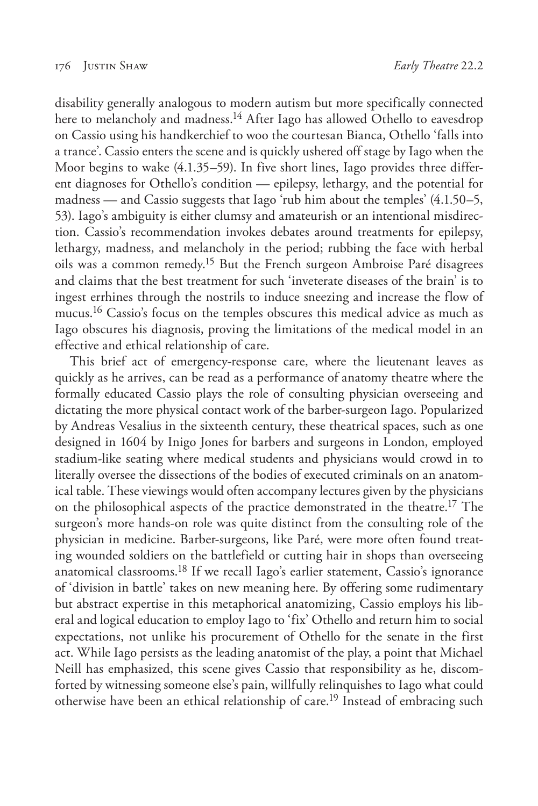disability generally analogous to modern autism but more specifically connected here to melancholy and madness.<sup>14</sup> After Iago has allowed Othello to eavesdrop on Cassio using his handkerchief to woo the courtesan Bianca, Othello 'falls into a trance'. Cassio enters the scene and is quickly ushered off stage by Iago when the Moor begins to wake (4.1.35–59). In five short lines, Iago provides three different diagnoses for Othello's condition — epilepsy, lethargy, and the potential for madness — and Cassio suggests that Iago 'rub him about the temples' (4.1.50–5, 53). Iago's ambiguity is either clumsy and amateurish or an intentional misdirection. Cassio's recommendation invokes debates around treatments for epilepsy, lethargy, madness, and melancholy in the period; rubbing the face with herbal oils was a common remedy.15 But the French surgeon Ambroise Paré disagrees and claims that the best treatment for such 'inveterate diseases of the brain' is to ingest errhines through the nostrils to induce sneezing and increase the flow of mucus.<sup>16</sup> Cassio's focus on the temples obscures this medical advice as much as Iago obscures his diagnosis, proving the limitations of the medical model in an effective and ethical relationship of care.

This brief act of emergency-response care, where the lieutenant leaves as quickly as he arrives, can be read as a performance of anatomy theatre where the formally educated Cassio plays the role of consulting physician overseeing and dictating the more physical contact work of the barber-surgeon Iago. Popularized by Andreas Vesalius in the sixteenth century, these theatrical spaces, such as one designed in 1604 by Inigo Jones for barbers and surgeons in London, employed stadium-like seating where medical students and physicians would crowd in to literally oversee the dissections of the bodies of executed criminals on an anatomical table. These viewings would often accompany lectures given by the physicians on the philosophical aspects of the practice demonstrated in the theatre.<sup>17</sup> The surgeon's more hands-on role was quite distinct from the consulting role of the physician in medicine. Barber-surgeons, like Paré, were more often found treating wounded soldiers on the battlefield or cutting hair in shops than overseeing anatomical classrooms.18 If we recall Iago's earlier statement, Cassio's ignorance of 'division in battle' takes on new meaning here. By offering some rudimentary but abstract expertise in this metaphorical anatomizing, Cassio employs his liberal and logical education to employ Iago to 'fix' Othello and return him to social expectations, not unlike his procurement of Othello for the senate in the first act. While Iago persists as the leading anatomist of the play, a point that Michael Neill has emphasized, this scene gives Cassio that responsibility as he, discomforted by witnessing someone else's pain, willfully relinquishes to Iago what could otherwise have been an ethical relationship of care.<sup>19</sup> Instead of embracing such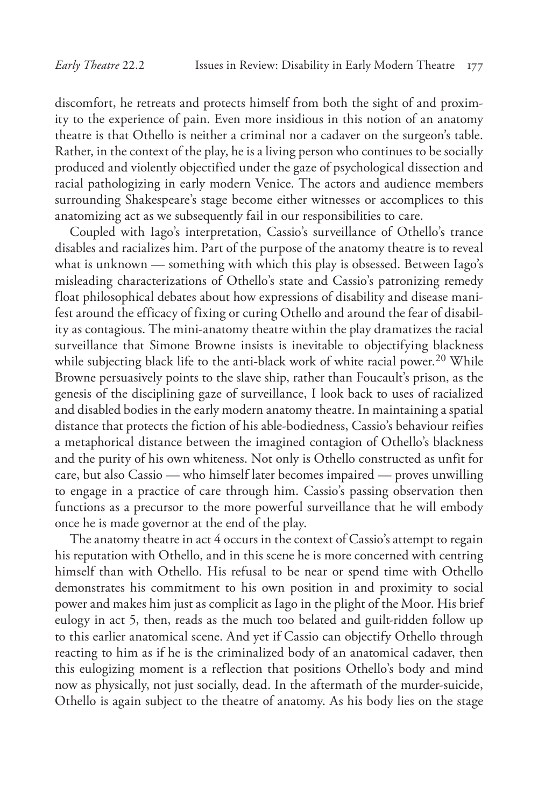discomfort, he retreats and protects himself from both the sight of and proximity to the experience of pain. Even more insidious in this notion of an anatomy theatre is that Othello is neither a criminal nor a cadaver on the surgeon's table. Rather, in the context of the play, he is a living person who continues to be socially produced and violently objectified under the gaze of psychological dissection and racial pathologizing in early modern Venice. The actors and audience members surrounding Shakespeare's stage become either witnesses or accomplices to this anatomizing act as we subsequently fail in our responsibilities to care.

Coupled with Iago's interpretation, Cassio's surveillance of Othello's trance disables and racializes him. Part of the purpose of the anatomy theatre is to reveal what is unknown — something with which this play is obsessed. Between Iago's misleading characterizations of Othello's state and Cassio's patronizing remedy float philosophical debates about how expressions of disability and disease manifest around the efficacy of fixing or curing Othello and around the fear of disability as contagious. The mini-anatomy theatre within the play dramatizes the racial surveillance that Simone Browne insists is inevitable to objectifying blackness while subjecting black life to the anti-black work of white racial power.<sup>20</sup> While Browne persuasively points to the slave ship, rather than Foucault's prison, as the genesis of the disciplining gaze of surveillance, I look back to uses of racialized and disabled bodies in the early modern anatomy theatre. In maintaining a spatial distance that protects the fiction of his able-bodiedness, Cassio's behaviour reifies a metaphorical distance between the imagined contagion of Othello's blackness and the purity of his own whiteness. Not only is Othello constructed as unfit for care, but also Cassio — who himself later becomes impaired — proves unwilling to engage in a practice of care through him. Cassio's passing observation then functions as a precursor to the more powerful surveillance that he will embody once he is made governor at the end of the play.

The anatomy theatre in act 4 occurs in the context of Cassio's attempt to regain his reputation with Othello, and in this scene he is more concerned with centring himself than with Othello. His refusal to be near or spend time with Othello demonstrates his commitment to his own position in and proximity to social power and makes him just as complicit as Iago in the plight of the Moor. His brief eulogy in act 5, then, reads as the much too belated and guilt-ridden follow up to this earlier anatomical scene. And yet if Cassio can objectify Othello through reacting to him as if he is the criminalized body of an anatomical cadaver, then this eulogizing moment is a reflection that positions Othello's body and mind now as physically, not just socially, dead. In the aftermath of the murder-suicide, Othello is again subject to the theatre of anatomy. As his body lies on the stage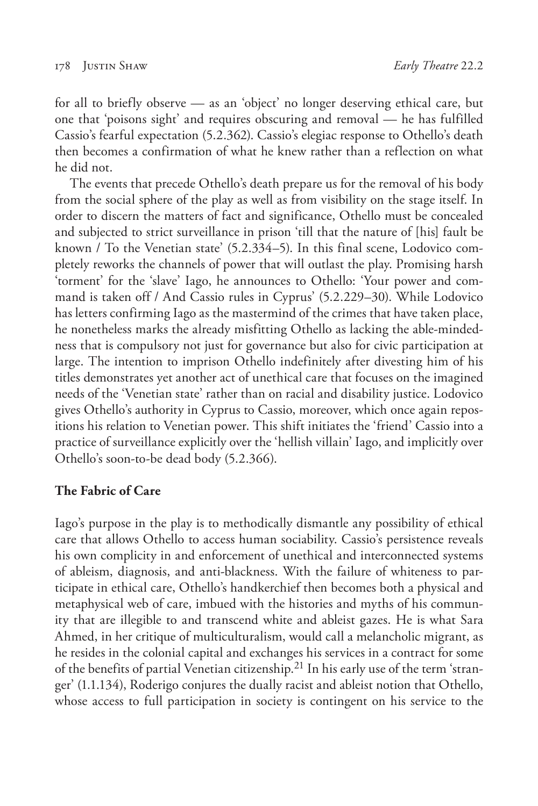for all to briefly observe — as an 'object' no longer deserving ethical care, but one that 'poisons sight' and requires obscuring and removal — he has fulfilled Cassio's fearful expectation (5.2.362). Cassio's elegiac response to Othello's death then becomes a confirmation of what he knew rather than a reflection on what he did not.

The events that precede Othello's death prepare us for the removal of his body from the social sphere of the play as well as from visibility on the stage itself. In order to discern the matters of fact and significance, Othello must be concealed and subjected to strict surveillance in prison 'till that the nature of [his] fault be known / To the Venetian state' (5.2.334–5). In this final scene, Lodovico completely reworks the channels of power that will outlast the play. Promising harsh 'torment' for the 'slave' Iago, he announces to Othello: 'Your power and command is taken off / And Cassio rules in Cyprus' (5.2.229–30). While Lodovico has letters confirming Iago as the mastermind of the crimes that have taken place, he nonetheless marks the already misfitting Othello as lacking the able-mindedness that is compulsory not just for governance but also for civic participation at large. The intention to imprison Othello indefinitely after divesting him of his titles demonstrates yet another act of unethical care that focuses on the imagined needs of the 'Venetian state' rather than on racial and disability justice. Lodovico gives Othello's authority in Cyprus to Cassio, moreover, which once again repositions his relation to Venetian power. This shift initiates the 'friend' Cassio into a practice of surveillance explicitly over the 'hellish villain' Iago, and implicitly over Othello's soon-to-be dead body (5.2.366).

## **The Fabric of Care**

Iago's purpose in the play is to methodically dismantle any possibility of ethical care that allows Othello to access human sociability. Cassio's persistence reveals his own complicity in and enforcement of unethical and interconnected systems of ableism, diagnosis, and anti-blackness. With the failure of whiteness to participate in ethical care, Othello's handkerchief then becomes both a physical and metaphysical web of care, imbued with the histories and myths of his community that are illegible to and transcend white and ableist gazes. He is what Sara Ahmed, in her critique of multiculturalism, would call a melancholic migrant, as he resides in the colonial capital and exchanges his services in a contract for some of the benefits of partial Venetian citizenship.<sup>21</sup> In his early use of the term 'stranger' (1.1.134), Roderigo conjures the dually racist and ableist notion that Othello, whose access to full participation in society is contingent on his service to the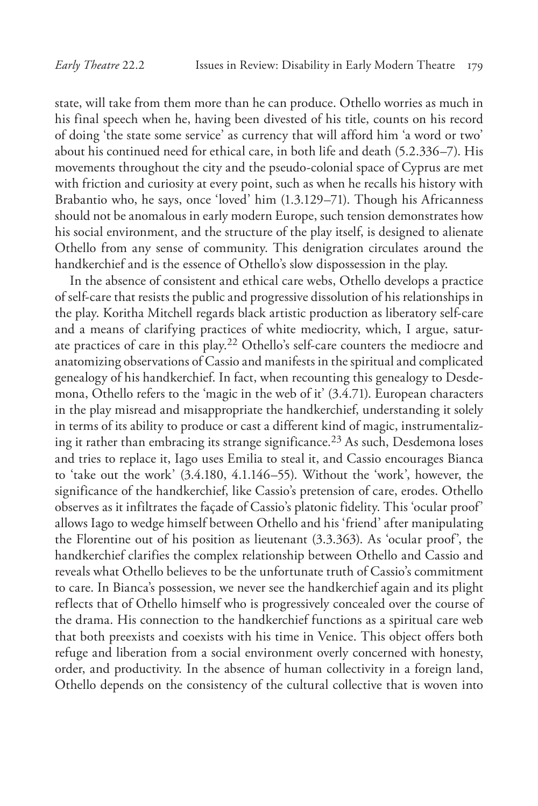state, will take from them more than he can produce. Othello worries as much in his final speech when he, having been divested of his title, counts on his record of doing 'the state some service' as currency that will afford him 'a word or two' about his continued need for ethical care, in both life and death (5.2.336–7). His movements throughout the city and the pseudo-colonial space of Cyprus are met with friction and curiosity at every point, such as when he recalls his history with Brabantio who, he says, once 'loved' him (1.3.129–71). Though his Africanness should not be anomalous in early modern Europe, such tension demonstrates how his social environment, and the structure of the play itself, is designed to alienate Othello from any sense of community. This denigration circulates around the handkerchief and is the essence of Othello's slow dispossession in the play.

In the absence of consistent and ethical care webs, Othello develops a practice of self-care that resists the public and progressive dissolution of his relationships in the play. Koritha Mitchell regards black artistic production as liberatory self-care and a means of clarifying practices of white mediocrity, which, I argue, saturate practices of care in this play.22 Othello's self-care counters the mediocre and anatomizing observations of Cassio and manifests in the spiritual and complicated genealogy of his handkerchief. In fact, when recounting this genealogy to Desdemona, Othello refers to the 'magic in the web of it' (3.4.71). European characters in the play misread and misappropriate the handkerchief, understanding it solely in terms of its ability to produce or cast a different kind of magic, instrumentalizing it rather than embracing its strange significance.<sup>23</sup> As such, Desdemona loses and tries to replace it, Iago uses Emilia to steal it, and Cassio encourages Bianca to 'take out the work' (3.4.180, 4.1.146–55). Without the 'work', however, the significance of the handkerchief, like Cassio's pretension of care, erodes. Othello observes as it infiltrates the façade of Cassio's platonic fidelity. This 'ocular proof' allows Iago to wedge himself between Othello and his 'friend' after manipulating the Florentine out of his position as lieutenant (3.3.363). As 'ocular proof', the handkerchief clarifies the complex relationship between Othello and Cassio and reveals what Othello believes to be the unfortunate truth of Cassio's commitment to care. In Bianca's possession, we never see the handkerchief again and its plight reflects that of Othello himself who is progressively concealed over the course of the drama. His connection to the handkerchief functions as a spiritual care web that both preexists and coexists with his time in Venice. This object offers both refuge and liberation from a social environment overly concerned with honesty, order, and productivity. In the absence of human collectivity in a foreign land, Othello depends on the consistency of the cultural collective that is woven into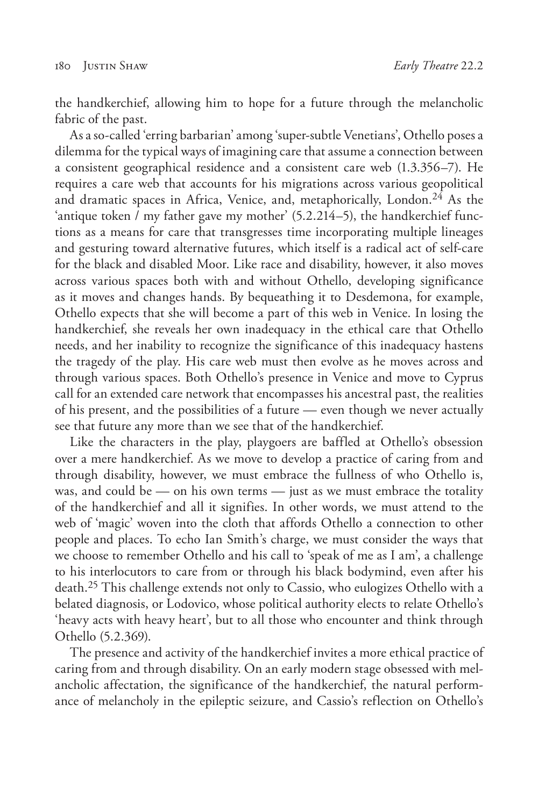the handkerchief, allowing him to hope for a future through the melancholic fabric of the past.

As a so-called 'erring barbarian' among 'super-subtle Venetians', Othello poses a dilemma for the typical ways of imagining care that assume a connection between a consistent geographical residence and a consistent care web (1.3.356–7). He requires a care web that accounts for his migrations across various geopolitical and dramatic spaces in Africa, Venice, and, metaphorically, London.<sup>24</sup> As the 'antique token / my father gave my mother' (5.2.214–5), the handkerchief functions as a means for care that transgresses time incorporating multiple lineages and gesturing toward alternative futures, which itself is a radical act of self-care for the black and disabled Moor. Like race and disability, however, it also moves across various spaces both with and without Othello, developing significance as it moves and changes hands. By bequeathing it to Desdemona, for example, Othello expects that she will become a part of this web in Venice. In losing the handkerchief, she reveals her own inadequacy in the ethical care that Othello needs, and her inability to recognize the significance of this inadequacy hastens the tragedy of the play. His care web must then evolve as he moves across and through various spaces. Both Othello's presence in Venice and move to Cyprus call for an extended care network that encompasses his ancestral past, the realities of his present, and the possibilities of a future — even though we never actually see that future any more than we see that of the handkerchief.

Like the characters in the play, playgoers are baffled at Othello's obsession over a mere handkerchief. As we move to develop a practice of caring from and through disability, however, we must embrace the fullness of who Othello is, was, and could be — on his own terms — just as we must embrace the totality of the handkerchief and all it signifies. In other words, we must attend to the web of 'magic' woven into the cloth that affords Othello a connection to other people and places. To echo Ian Smith's charge, we must consider the ways that we choose to remember Othello and his call to 'speak of me as I am', a challenge to his interlocutors to care from or through his black bodymind, even after his death.25 This challenge extends not only to Cassio, who eulogizes Othello with a belated diagnosis, or Lodovico, whose political authority elects to relate Othello's 'heavy acts with heavy heart', but to all those who encounter and think through Othello (5.2.369).

The presence and activity of the handkerchief invites a more ethical practice of caring from and through disability. On an early modern stage obsessed with melancholic affectation, the significance of the handkerchief, the natural performance of melancholy in the epileptic seizure, and Cassio's reflection on Othello's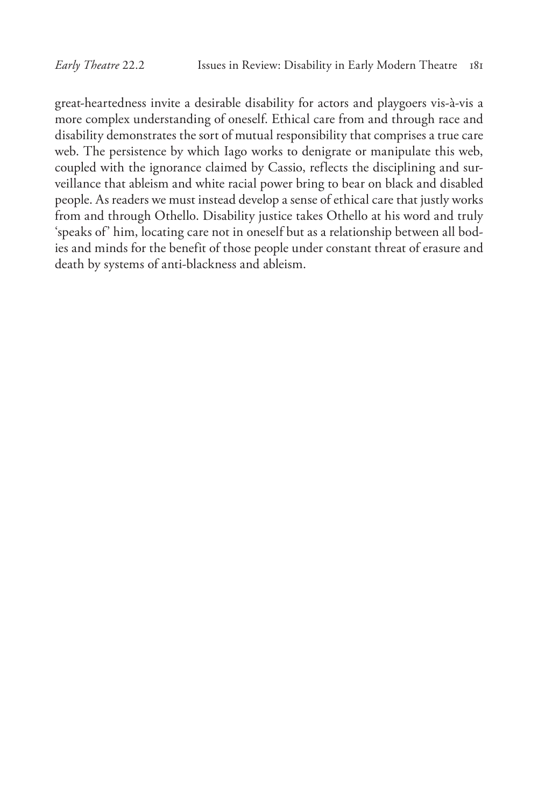great-heartedness invite a desirable disability for actors and playgoers vis-à-vis a more complex understanding of oneself. Ethical care from and through race and disability demonstrates the sort of mutual responsibility that comprises a true care web. The persistence by which Iago works to denigrate or manipulate this web, coupled with the ignorance claimed by Cassio, reflects the disciplining and surveillance that ableism and white racial power bring to bear on black and disabled people. As readers we must instead develop a sense of ethical care that justly works from and through Othello. Disability justice takes Othello at his word and truly 'speaks of' him, locating care not in oneself but as a relationship between all bodies and minds for the benefit of those people under constant threat of erasure and death by systems of anti-blackness and ableism.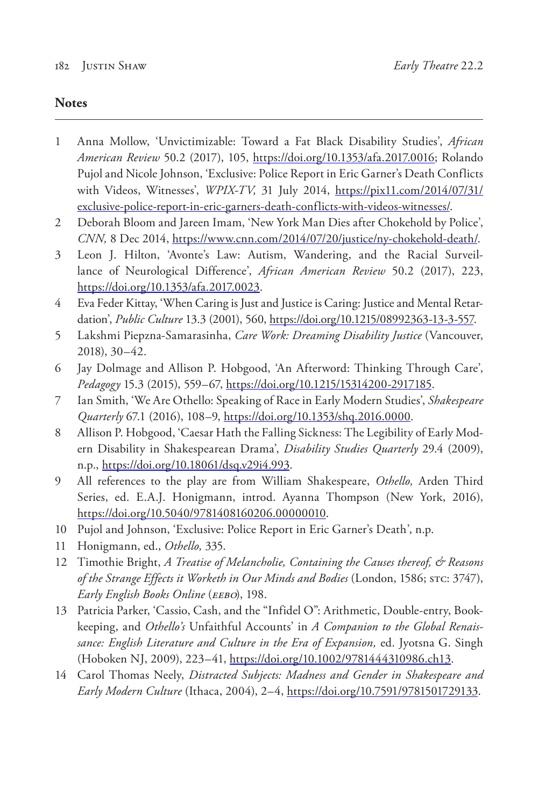## **Notes**

- 1 Anna Mollow, 'Unvictimizable: Toward a Fat Black Disability Studies', *African American Review* 50.2 (2017), 105, https://doi.org/10.1353/afa.2017.0016; Rolando Pujol and Nicole Johnson, 'Exclusive: Police Report in Eric Garner's Death Conflicts with Videos, Witnesses', *WPIX-TV,* 31 July 2014, https://pix11.com/2014/07/31/ exclusive-police-report-in-eric-garners-death-conflicts-with-videos-witnesses/.
- 2 Deborah Bloom and Jareen Imam, 'New York Man Dies after Chokehold by Police', *CNN,* 8 Dec 2014, https://www.cnn.com/2014/07/20/justice/ny-chokehold-death/.
- 3 Leon J. Hilton, 'Avonte's Law: Autism, Wandering, and the Racial Surveillance of Neurological Difference', *African American Review* 50.2 (2017), 223, https://doi.org/10.1353/afa.2017.0023.
- 4 Eva Feder Kittay, 'When Caring is Just and Justice is Caring: Justice and Mental Retardation', *Public Culture* 13.3 (2001), 560, https://doi.org/10.1215/08992363-13-3-557.
- 5 Lakshmi Piepzna-Samarasinha, *Care Work: Dreaming Disability Justice* (Vancouver, 2018), 30–42.
- 6 Jay Dolmage and Allison P. Hobgood, 'An Afterword: Thinking Through Care', *Pedagogy* 15.3 (2015), 559–67, https://doi.org/10.1215/15314200-2917185.
- 7 Ian Smith, 'We Are Othello: Speaking of Race in Early Modern Studies', *Shakespeare Quarterly* 67.1 (2016), 108–9, https://doi.org/10.1353/shq.2016.0000.
- 8 Allison P. Hobgood, 'Caesar Hath the Falling Sickness: The Legibility of Early Modern Disability in Shakespearean Drama', *Disability Studies Quarterly* 29.4 (2009), n.p., https://doi.org/10.18061/dsq.v29i4.993.
- 9 All references to the play are from William Shakespeare, *Othello,* Arden Third Series, ed. E.A.J. Honigmann, introd. Ayanna Thompson (New York, 2016), https://doi.org/10.5040/9781408160206.00000010.
- 10 Pujol and Johnson, 'Exclusive: Police Report in Eric Garner's Death', n.p.
- 11 Honigmann, ed., *Othello,* 335.
- 12 Timothie Bright, *A Treatise of Melancholie, Containing the Causes thereof, & Reasons of the Strange Effects it Worketh in Our Minds and Bodies* (London, 1586; STC: 3747), *Early English Books Online* (*EEBO*), 198.
- 13 Patricia Parker, 'Cassio, Cash, and the "Infidel O": Arithmetic, Double-entry, Bookkeeping, and *Othello's* Unfaithful Accounts' in *A Companion to the Global Renaissance: English Literature and Culture in the Era of Expansion,* ed. Jyotsna G. Singh (Hoboken NJ, 2009), 223–41, https://doi.org/10.1002/9781444310986.ch13.
- 14 Carol Thomas Neely, *Distracted Subjects: Madness and Gender in Shakespeare and Early Modern Culture* (Ithaca, 2004), 2–4, https://doi.org/10.7591/9781501729133.